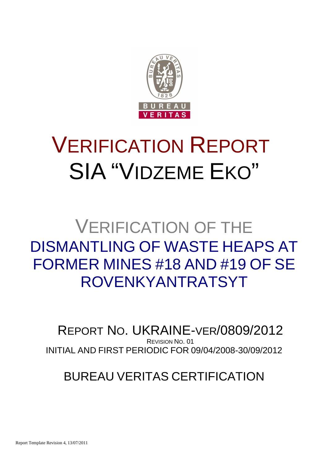

# VERIFICATION REPORT SIA "VIDZEME EKO"

## VERIFICATION OF THE DISMANTLING OF WASTE HEAPS AT FORMER MINES #18 AND #19 OF SE ROVENKYANTRATSYT

INITIAL AND FIRST PERIODIC FOR 09/04/2008-30/09/2012 REPORT NO. UKRAINE-VER/0809/2012 REVISION NO. 01

### BUREAU VERITAS CERTIFICATION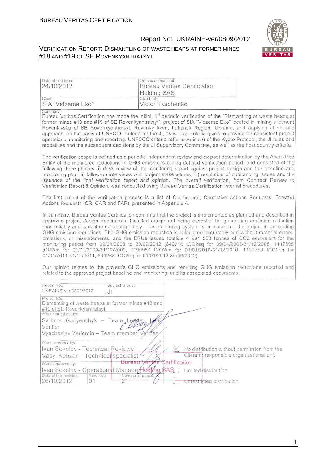#### VERIFICATION REPORT: DISMANTLING OF WASTE HEAPS AT FORMER MINES #18 AND #19 OF SE ROVENKYANTRATSYT



| Date of first issue:<br>24/10/2012                                                                                                                                                                                                                               | Organizational unit:<br><b>Bureau Veritas Certification</b><br><b>Holding SAS</b>                                                                                                                                                                                                                                                                                                                                                                                                                                                                                                                                                                                                                                                                                                                                                                                                                                                                                          |                                                                                          |
|------------------------------------------------------------------------------------------------------------------------------------------------------------------------------------------------------------------------------------------------------------------|----------------------------------------------------------------------------------------------------------------------------------------------------------------------------------------------------------------------------------------------------------------------------------------------------------------------------------------------------------------------------------------------------------------------------------------------------------------------------------------------------------------------------------------------------------------------------------------------------------------------------------------------------------------------------------------------------------------------------------------------------------------------------------------------------------------------------------------------------------------------------------------------------------------------------------------------------------------------------|------------------------------------------------------------------------------------------|
| Client:<br>SIA "Vidzeme Eko"                                                                                                                                                                                                                                     | Client ref.:<br>Victor Tkachenko                                                                                                                                                                                                                                                                                                                                                                                                                                                                                                                                                                                                                                                                                                                                                                                                                                                                                                                                           |                                                                                          |
| Summary:                                                                                                                                                                                                                                                         | Bureau Veritas Certification has made the initial, 1 <sup>st</sup> periodic verification of the "Dismantling of waste heaps at<br>former mines #18 and #19 of SE Rovenkyantratsyt", project of SIA "Vidzeme Eko" located in mining allotment<br>Rovenkivska of SE Rovenkyantratsyt, Rovenky town, Luhansk Region, Ukraine, and applying JI specific<br>approach, on the basis of UNFCCC criteria for the JI, as well as criteria given to provide for consistent project<br>operations, monitoring and reporting. UNFCCC criteria refer to Article 6 of the Kyoto Protocol, the JI rules and<br>modalities and the subsequent decisions by the JI Supervisory Committee, as well as the host country criteria.                                                                                                                                                                                                                                                             |                                                                                          |
|                                                                                                                                                                                                                                                                  | The verification scope is defined as a periodic independent review and ex post determination by the Accredited<br>Entity of the monitored reductions in GHG emissions during defined verification period, and consisted of the<br>following three phases: i) desk review of the monitoring report against project design and the baseline and<br>monitoring plan; ii) follow-up interviews with project stakeholders; iii) resolution of outstanding issues and the<br>issuance of the final verification report and opinion. The overall verification, from Contract Review to<br>Verification Report & Opinion, was conducted using Bureau Veritas Certification internal procedures.                                                                                                                                                                                                                                                                                    |                                                                                          |
| Actions Requests (CR, CAR and FAR), presented in Appendix A.                                                                                                                                                                                                     | The first output of the verification process is a list of Clarification, Corrective Actions Requests, Forward                                                                                                                                                                                                                                                                                                                                                                                                                                                                                                                                                                                                                                                                                                                                                                                                                                                              |                                                                                          |
| 01/01/2011-31/12/2011, 841268 tCO2eq for 01/01/2012-30/09/2012).                                                                                                                                                                                                 | In summary, Bureau Veritas Certification confirms that the project is implemented as planned and described in<br>approved project design documents. Installed equipment being essential for generating emission reduction<br>runs reliably and is calibrated appropriately. The monitoring system is in place and the project is generating<br>GHG emission reductions. The GHG emission reduction is calculated accurately and without material errors,<br>omissions, or misstatements, and the ERUs issued totalize 4 991 580 tonnes of CO2 equivalent for the<br>monitoring period from 09/04/2008 to 30/09/2012 (840710 tCO2eq for 09/04/2008-31/12/2008, 1117895<br>tCO2eq for 01/01/2009-31/12/2009, 1090957 tCO2eq for 01/01/2010-31/12/2010, 1100750 tCO2eq for<br>Our opinion relates to the project's GHG emissions and resulting GHG emission reductions reported and<br>related to the approved project baseline and monitoring, and its associated documents. |                                                                                          |
| Report No.:<br>Subject Group:                                                                                                                                                                                                                                    |                                                                                                                                                                                                                                                                                                                                                                                                                                                                                                                                                                                                                                                                                                                                                                                                                                                                                                                                                                            |                                                                                          |
| UKRAINE-ver/0809/2012<br>JI<br>Project title:<br>Dismantling of waste heaps at former mines #18 and<br>#19 of SE Rovenkyantratsyt<br>Work carried out by:<br>Svitlana Gariyenchyk – Team Legger, 169<br>Verifier<br>Vyacheslav Yeriomin - Team member, veriffer, | Clair                                                                                                                                                                                                                                                                                                                                                                                                                                                                                                                                                                                                                                                                                                                                                                                                                                                                                                                                                                      |                                                                                          |
| Work reviewed by:<br>Ivan Sokolov - Technical Reviewer<br>Vasyl Kobzar - Technical specialist<br>Work approved by:<br>Ivan Sokolov - Operational ManagerHolding \$AS<br>Date of this revision:<br>Rev. No.:<br>26/10/2012<br>01                                  | $\times$<br><b>Bureau Veritas Certification</b><br>Limited distribution<br>Number of pages<br>Unrestricted distribution                                                                                                                                                                                                                                                                                                                                                                                                                                                                                                                                                                                                                                                                                                                                                                                                                                                    | No distribution without permission from the<br>Client of responsible organizational unit |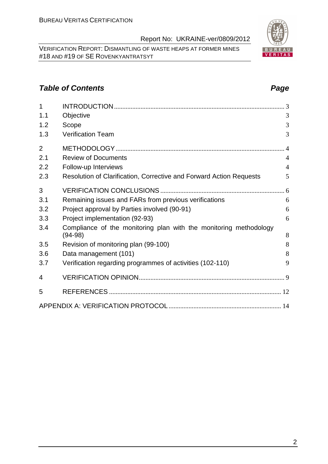VERIFICATION REPORT: DISMANTLING OF WASTE HEAPS AT FORMER MINES #18 AND #19 OF SE ROVENKYANTRATSYT

#### **Table of Contents Page 2014**

| $\overline{1}$ |                                                                                | 3              |
|----------------|--------------------------------------------------------------------------------|----------------|
| 1.1            | Objective                                                                      | 3              |
| 1.2            | Scope                                                                          | 3              |
| 1.3            | <b>Verification Team</b>                                                       | 3              |
| $\overline{2}$ |                                                                                | $\overline{4}$ |
| 2.1            | <b>Review of Documents</b>                                                     | $\overline{4}$ |
| 2.2            | Follow-up Interviews                                                           | $\overline{4}$ |
| 2.3            | Resolution of Clarification, Corrective and Forward Action Requests            | 5              |
| 3              |                                                                                |                |
| 3.1            | Remaining issues and FARs from previous verifications                          | 6              |
| 3.2            | Project approval by Parties involved (90-91)                                   | 6              |
| 3.3            | Project implementation (92-93)                                                 | 6              |
| 3.4            | Compliance of the monitoring plan with the monitoring methodology<br>$(94-98)$ | 8              |
| 3.5            | Revision of monitoring plan (99-100)                                           | 8              |
| 3.6            | Data management (101)                                                          | 8              |
| 3.7            | Verification regarding programmes of activities (102-110)                      | 9              |
| 4              |                                                                                |                |
| 5              |                                                                                |                |
|                |                                                                                |                |

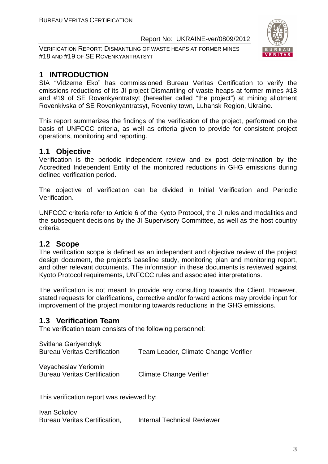VERIFICATION REPORT: DISMANTLING OF WASTE HEAPS AT FORMER MINES #18 AND #19 OF SE ROVENKYANTRATSYT



### **1 INTRODUCTION**

SIA "Vidzeme Eko" has commissioned Bureau Veritas Certification to verify the emissions reductions of its JI project Dismantling of waste heaps at former mines #18 and #19 of SE Rovenkyantratsyt (hereafter called "the project") at mining allotment Rovenkivska of SE Rovenkyantratsyt, Rovenky town, Luhansk Region, Ukraine.

This report summarizes the findings of the verification of the project, performed on the basis of UNFCCC criteria, as well as criteria given to provide for consistent project operations, monitoring and reporting.

#### **1.1 Objective**

Verification is the periodic independent review and ex post determination by the Accredited Independent Entity of the monitored reductions in GHG emissions during defined verification period.

The objective of verification can be divided in Initial Verification and Periodic Verification.

UNFCCC criteria refer to Article 6 of the Kyoto Protocol, the JI rules and modalities and the subsequent decisions by the JI Supervisory Committee, as well as the host country criteria.

#### **1.2 Scope**

The verification scope is defined as an independent and objective review of the project design document, the project's baseline study, monitoring plan and monitoring report, and other relevant documents. The information in these documents is reviewed against Kyoto Protocol requirements, UNFCCC rules and associated interpretations.

The verification is not meant to provide any consulting towards the Client. However, stated requests for clarifications, corrective and/or forward actions may provide input for improvement of the project monitoring towards reductions in the GHG emissions.

#### **1.3 Verification Team**

The verification team consists of the following personnel:

| Svitlana Gariyenchyk<br><b>Bureau Veritas Certification</b> | Team Leader, Climate Change Verifier |
|-------------------------------------------------------------|--------------------------------------|
| Veyacheslav Yeriomin                                        |                                      |

Bureau Veritas Certification Climate Change Verifier

This verification report was reviewed by:

Ivan Sokolov Bureau Veritas Certification, Internal Technical Reviewer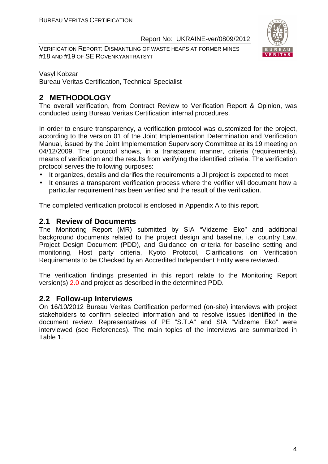VERIFICATION REPORT: DISMANTLING OF WASTE HEAPS AT FORMER MINES #18 AND #19 OF SE ROVENKYANTRATSYT



#### Vasyl Kobzar

Bureau Veritas Certification, Technical Specialist

#### **2 METHODOLOGY**

The overall verification, from Contract Review to Verification Report & Opinion, was conducted using Bureau Veritas Certification internal procedures.

In order to ensure transparency, a verification protocol was customized for the project, according to the version 01 of the Joint Implementation Determination and Verification Manual, issued by the Joint Implementation Supervisory Committee at its 19 meeting on 04/12/2009. The protocol shows, in a transparent manner, criteria (requirements), means of verification and the results from verifying the identified criteria. The verification protocol serves the following purposes:

- It organizes, details and clarifies the requirements a JI project is expected to meet;
- It ensures a transparent verification process where the verifier will document how a particular requirement has been verified and the result of the verification.

The completed verification protocol is enclosed in Appendix A to this report.

#### **2.1 Review of Documents**

The Monitoring Report (MR) submitted by SIA "Vidzeme Eko" and additional background documents related to the project design and baseline, i.e. country Law, Project Design Document (PDD), and Guidance on criteria for baseline setting and monitoring, Host party criteria, Kyoto Protocol, Clarifications on Verification Requirements to be Checked by an Accredited Independent Entity were reviewed.

The verification findings presented in this report relate to the Monitoring Report version(s) 2.0 and project as described in the determined PDD.

#### **2.2 Follow-up Interviews**

On 16/10/2012 Bureau Veritas Certification performed (on-site) interviews with project stakeholders to confirm selected information and to resolve issues identified in the document review. Representatives of PE "S.T.A" and SIA "Vidzeme Eko" were interviewed (see References). The main topics of the interviews are summarized in Table 1.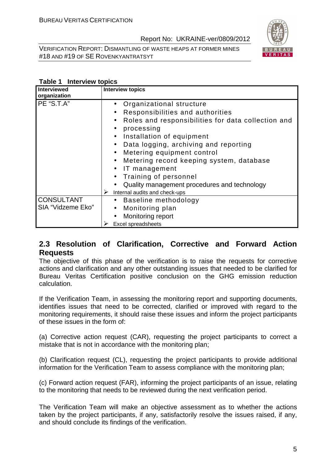VERIFICATION REPORT: DISMANTLING OF WASTE HEAPS AT FORMER MINES #18 AND #19 OF SE ROVENKYANTRATSYT



#### **Table 1 Interview topics**

| <b>Interviewed</b><br>organization     | <b>Interview topics</b>                                                                                                                                                                                                                                                                                                                                                                                                                                                                                                               |
|----------------------------------------|---------------------------------------------------------------------------------------------------------------------------------------------------------------------------------------------------------------------------------------------------------------------------------------------------------------------------------------------------------------------------------------------------------------------------------------------------------------------------------------------------------------------------------------|
| PE "S.T.A"                             | Organizational structure<br>$\bullet$<br>Responsibilities and authorities<br>$\bullet$<br>Roles and responsibilities for data collection and<br>$\bullet$<br>processing<br>$\bullet$<br>Installation of equipment<br>$\bullet$<br>Data logging, archiving and reporting<br>$\bullet$<br>Metering equipment control<br>$\bullet$<br>Metering record keeping system, database<br>$\bullet$<br>IT management<br>$\bullet$<br>Training of personnel<br>Quality management procedures and technology<br>➤<br>Internal audits and check-ups |
| <b>CONSULTANT</b><br>SIA "Vidzeme Eko" | Baseline methodology<br>$\bullet$<br>Monitoring plan<br>$\bullet$<br>Monitoring report<br>$\bullet$<br>Excel spreadsheets                                                                                                                                                                                                                                                                                                                                                                                                             |

#### **2.3 Resolution of Clarification, Corrective and Forward Action Requests**

The objective of this phase of the verification is to raise the requests for corrective actions and clarification and any other outstanding issues that needed to be clarified for Bureau Veritas Certification positive conclusion on the GHG emission reduction calculation.

If the Verification Team, in assessing the monitoring report and supporting documents, identifies issues that need to be corrected, clarified or improved with regard to the monitoring requirements, it should raise these issues and inform the project participants of these issues in the form of:

(a) Corrective action request (CAR), requesting the project participants to correct a mistake that is not in accordance with the monitoring plan;

(b) Clarification request (CL), requesting the project participants to provide additional information for the Verification Team to assess compliance with the monitoring plan;

(c) Forward action request (FAR), informing the project participants of an issue, relating to the monitoring that needs to be reviewed during the next verification period.

The Verification Team will make an objective assessment as to whether the actions taken by the project participants, if any, satisfactorily resolve the issues raised, if any, and should conclude its findings of the verification.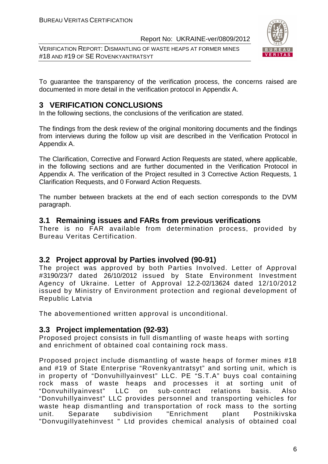VERIFICATION REPORT: DISMANTLING OF WASTE HEAPS AT FORMER MINES #18 AND #19 OF SE ROVENKYANTRATSYT



To guarantee the transparency of the verification process, the concerns raised are documented in more detail in the verification protocol in Appendix A.

#### **3 VERIFICATION CONCLUSIONS**

In the following sections, the conclusions of the verification are stated.

The findings from the desk review of the original monitoring documents and the findings from interviews during the follow up visit are described in the Verification Protocol in Appendix A.

The Clarification, Corrective and Forward Action Requests are stated, where applicable, in the following sections and are further documented in the Verification Protocol in Appendix A. The verification of the Project resulted in 3 Corrective Action Requests, 1 Clarification Requests, and 0 Forward Action Requests.

The number between brackets at the end of each section corresponds to the DVM paragraph.

#### **3.1 Remaining issues and FARs from previous verifications**

There is no FAR available from determination process, provided by Bureau Veritas Certification.

#### **3.2 Project approval by Parties involved (90-91)**

The project was approved by both Parties Involved. Letter of Approval #3190/23/7 dated 26/10/2012 issued by State Environment Investment Agency of Ukraine. Letter of Approval 12.2-02/13624 dated 12/10/2012 issued by Ministry of Environment protection and regional development of Republic Latvia

The abovementioned written approval is unconditional.

#### **3.3 Project implementation (92-93)**

Proposed project consists in full dismantling of waste heaps with sorting and enrichment of obtained coal containing rock mass.

Proposed project include dismantling of waste heaps of former mines #18 and #19 of State Enterprise "Rovenkyantratsyt" and sorting unit, which is in property of "Donvuhillyainvest" LLC. PE "S.T.A" buys coal containing rock mass of waste heaps and processes it at sorting unit of "Donvuhillyainvest" LLC on sub-contract relations basis. Also "Donvuhillyainvest" LLC provides personnel and transporting vehicles for waste heap dismantling and transportation of rock mass to the sorting unit. Separate subdivision "Enrichment plant Postnikivska "Donvugillyatehinvest " Ltd provides chemical analysis of obtained coal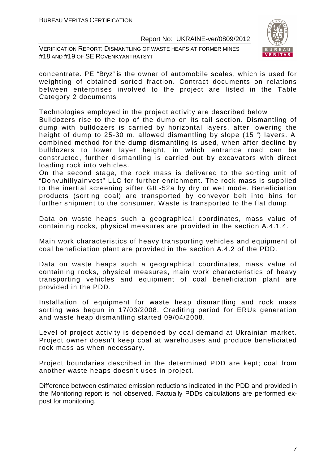VERIFICATION REPORT: DISMANTLING OF WASTE HEAPS AT FORMER MINES #18 AND #19 OF SE ROVENKYANTRATSYT



concentrate. PE "Bryz" is the owner of automobile scales, which is used for weighting of obtained sorted fraction. Contract documents on relations between enterprises involved to the project are listed in the Table Category 2 documents

Technologies employed in the project activity are described below Bulldozers rise to the top of the dump on its tail section. Dismantling of dump with bulldozers is carried by horizontal layers, after lowering the height of dump to 25-30 m, allowed dismantling by slope (15 °) layers. A combined method for the dump dismantling is used, when after decline by bulldozers to lower layer height, in which entrance road can be constructed, further dismantling is carried out by excavators with direct loading rock into vehicles.

On the second stage, the rock mass is delivered to the sorting unit of "Donvuhillyainvest" LLC for further enrichment. The rock mass is supplied to the inertial screening sifter GIL-52a by dry or wet mode. Beneficiation products (sorting coal) are transported by conveyor belt into bins for further shipment to the consumer. Waste is transported to the flat dump.

Data on waste heaps such a geographical coordinates, mass value of containing rocks, physical measures are provided in the section A.4.1.4.

Main work characteristics of heavy transporting vehicles and equipment of coal beneficiation plant are provided in the section A.4.2 of the PDD.

Data on waste heaps such a geographical coordinates, mass value of containing rocks, physical measures, main work characteristics of heavy transporting vehicles and equipment of coal beneficiation plant are provided in the PDD.

Installation of equipment for waste heap dismantling and rock mass sorting was begun in 17/03/2008. Crediting period for ERUs generation and waste heap dismantling started 09/04/2008.

Level of project activity is depended by coal demand at Ukrainian market. Project owner doesn't keep coal at warehouses and produce beneficiated rock mass as when necessary.

Project boundaries described in the determined PDD are kept; coal from another waste heaps doesn't uses in project.

Difference between estimated emission reductions indicated in the PDD and provided in the Monitoring report is not observed. Factually PDDs calculations are performed expost for monitoring.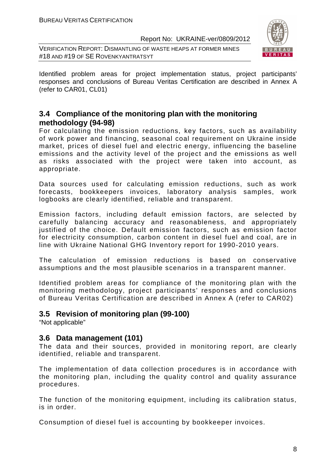VERIFICATION REPORT: DISMANTLING OF WASTE HEAPS AT FORMER MINES #18 AND #19 OF SE ROVENKYANTRATSYT



Identified problem areas for project implementation status, project participants' responses and conclusions of Bureau Veritas Certification are described in Annex A (refer to CAR01, CL01)

#### **3.4 Compliance of the monitoring plan with the monitoring methodology (94-98)**

For calculating the emission reductions, key factors, such as availability of work power and financing, seasonal coal requirement on Ukraine inside market, prices of diesel fuel and electric energy, influencing the baseline emissions and the activity level of the project and the emissions as well as risks associated with the project were taken into account, as appropriate.

Data sources used for calculating emission reductions, such as work forecasts, bookkeepers invoices, laboratory analysis samples, work logbooks are clearly identified, reliable and transparent.

Emission factors, including default emission factors, are selected by carefully balancing accuracy and reasonableness, and appropriately justified of the choice. Default emission factors, such as emission factor for electricity consumption, carbon content in diesel fuel and coal, are in line with Ukraine National GHG Inventory report for 1990-2010 years.

The calculation of emission reductions is based on conservative assumptions and the most plausible scenarios in a transparent manner.

Identified problem areas for compliance of the monitoring plan with the monitoring methodology, project participants' responses and conclusions of Bureau Veritas Certification are described in Annex A (refer to CAR02)

#### **3.5 Revision of monitoring plan (99-100)**

"Not applicable"

#### **3.6 Data management (101)**

The data and their sources, provided in monitoring report, are clearly identified, reliable and transparent.

The implementation of data collection procedures is in accordance with the monitoring plan, including the quality control and quality assurance procedures.

The function of the monitoring equipment, including its calibration status, is in order.

Consumption of diesel fuel is accounting by bookkeeper invoices.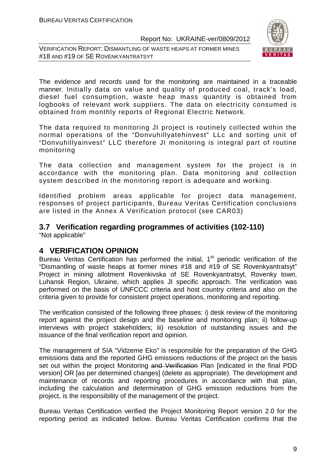VERIFICATION REPORT: DISMANTLING OF WASTE HEAPS AT FORMER MINES #18 AND #19 OF SE ROVENKYANTRATSYT



The evidence and records used for the monitoring are maintained in a traceable manner. Initially data on value and quality of produced coal, track's load, diesel fuel consumption, waste heap mass quantity is obtained from logbooks of relevant work suppliers. The data on electricity consumed is obtained from monthly reports of Regional Electric Network.

The data required to monitoring JI project is routinely collected within the normal operations of the "Donvuhillyatehinvest" LLc and sorting unit of "Donvuhillyainvest" LLC therefore JI monitoring is integral part of routine monitoring

The data collection and management system for the project is in accordance with the monitoring plan. Data monitoring and collection system described in the monitoring report is adequate and working.

Identified problem areas applicable for project data management, responses of project participants, Bureau Veritas Certification conclusions are listed in the Annex A Verification protocol (see CAR03)

#### **3.7 Verification regarding programmes of activities (102-110)**  "Not applicable"

#### **4 VERIFICATION OPINION**

Bureau Veritas Certification has performed the initial, 1<sup>st</sup> periodic verification of the "Dismantling of waste heaps at former mines #18 and #19 of SE Rovenkyantratsyt" Project in mining allotment Rovenkivska of SE Rovenkyantratsyt, Rovenky town, Luhansk Region, Ukraine, which applies JI specific approach. The verification was performed on the basis of UNFCCC criteria and host country criteria and also on the criteria given to provide for consistent project operations, monitoring and reporting.

The verification consisted of the following three phases: i) desk review of the monitoring report against the project design and the baseline and monitoring plan; ii) follow-up interviews with project stakeholders; iii) resolution of outstanding issues and the issuance of the final verification report and opinion.

The management of SIA "Vidzeme Eko" is responsible for the preparation of the GHG emissions data and the reported GHG emissions reductions of the project on the basis set out within the project Monitoring and Verification Plan lindicated in the final PDD version] OR [as per determined changes] (delete as appropriate). The development and maintenance of records and reporting procedures in accordance with that plan, including the calculation and determination of GHG emission reductions from the project, is the responsibility of the management of the project.

Bureau Veritas Certification verified the Project Monitoring Report version 2.0 for the reporting period as indicated below. Bureau Veritas Certification confirms that the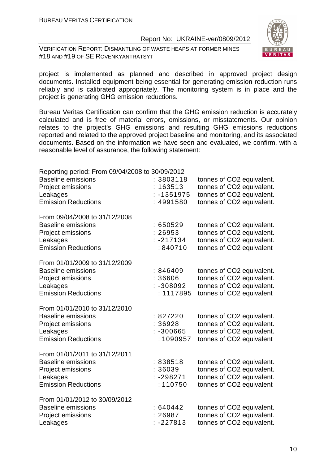VERIFICATION REPORT: DISMANTLING OF WASTE HEAPS AT FORMER MINES #18 AND #19 OF SE ROVENKYANTRATSYT



project is implemented as planned and described in approved project design documents. Installed equipment being essential for generating emission reduction runs reliably and is calibrated appropriately. The monitoring system is in place and the project is generating GHG emission reductions.

Bureau Veritas Certification can confirm that the GHG emission reduction is accurately calculated and is free of material errors, omissions, or misstatements. Our opinion relates to the project's GHG emissions and resulting GHG emissions reductions reported and related to the approved project baseline and monitoring, and its associated documents. Based on the information we have seen and evaluated, we confirm, with a reasonable level of assurance, the following statement:

| Reporting period: From 09/04/2008 to 30/09/2012                                                                           |                                                  |                                                                                                                  |
|---------------------------------------------------------------------------------------------------------------------------|--------------------------------------------------|------------------------------------------------------------------------------------------------------------------|
| <b>Baseline emissions</b><br>Project emissions<br>Leakages<br><b>Emission Reductions</b>                                  | : 3803118<br>163513<br>$: -1351975$<br>: 4991580 | tonnes of CO2 equivalent.<br>tonnes of CO2 equivalent.<br>tonnes of CO2 equivalent.<br>tonnes of CO2 equivalent. |
| From 09/04/2008 to 31/12/2008<br><b>Baseline emissions</b><br>Project emissions<br>Leakages<br><b>Emission Reductions</b> | :650529<br>: 26953<br>$: -217134$<br>: 840710    | tonnes of CO2 equivalent.<br>tonnes of CO2 equivalent.<br>tonnes of CO2 equivalent.<br>tonnes of CO2 equivalent  |
| From 01/01/2009 to 31/12/2009<br><b>Baseline emissions</b><br>Project emissions<br>Leakages<br><b>Emission Reductions</b> | :846409<br>36606<br>$: -308092$<br>: 1117895     | tonnes of CO2 equivalent.<br>tonnes of CO2 equivalent.<br>tonnes of CO2 equivalent.<br>tonnes of CO2 equivalent  |
| From 01/01/2010 to 31/12/2010<br><b>Baseline emissions</b><br>Project emissions<br>Leakages<br><b>Emission Reductions</b> | : 827220<br>: 36928<br>$: -300665$<br>: 1090957  | tonnes of CO2 equivalent.<br>tonnes of CO2 equivalent.<br>tonnes of CO2 equivalent.<br>tonnes of CO2 equivalent  |
| From 01/01/2011 to 31/12/2011<br><b>Baseline emissions</b><br>Project emissions<br>Leakages<br><b>Emission Reductions</b> | : 838518<br>36039<br>$: -298271$<br>: 110750     | tonnes of CO2 equivalent.<br>tonnes of CO2 equivalent.<br>tonnes of CO2 equivalent.<br>tonnes of CO2 equivalent  |
| From 01/01/2012 to 30/09/2012<br><b>Baseline emissions</b><br>Project emissions<br>Leakages                               | :640442<br>: 26987<br>: -227813                  | tonnes of CO2 equivalent.<br>tonnes of CO2 equivalent.<br>tonnes of CO2 equivalent.                              |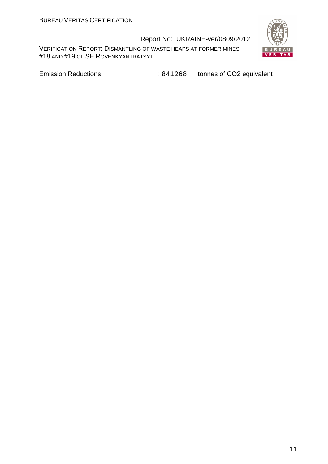VERIFICATION REPORT: DISMANTLING OF WASTE HEAPS AT FORMER MINES #18 AND #19 OF SE ROVENKYANTRATSYT



Emission Reductions **: 841268** tonnes of CO2 equivalent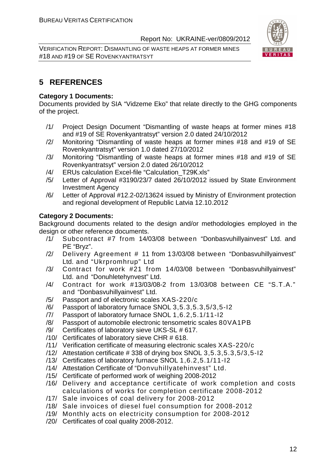VERIFICATION REPORT: DISMANTLING OF WASTE HEAPS AT FORMER MINES #18 AND #19 OF SE ROVENKYANTRATSYT



#### **5 REFERENCES**

#### **Category 1 Documents:**

Documents provided by SIA "Vidzeme Eko" that relate directly to the GHG components of the project.

- /1/ Project Design Document "Dismantling of waste heaps at former mines #18 and #19 of SE Rovenkyantratsyt" version 2.0 dated 24/10/2012
- /2/ Monitoring "Dismantling of waste heaps at former mines #18 and #19 of SE Rovenkyantratsyt" version 1.0 dated 27/10/2012
- /3/ Monitoring "Dismantling of waste heaps at former mines #18 and #19 of SE Rovenkyantratsyt" version 2.0 dated 26/10/2012
- /4/ ERUs calculation Excel-file "Calculation\_T29К.xls"
- /5/ Letter of Approval #3190/23/7 dated 26/10/2012 issued by State Environment Investment Agency
- /6/ Letter of Approval #12.2-02/13624 issued by Ministry of Environment protection and regional development of Republic Latvia 12.10.2012

#### **Category 2 Documents:**

Background documents related to the design and/or methodologies employed in the design or other reference documents.

- /1/ Subcontract #7 from 14/03/08 between "Donbasvuhillyainvest" Ltd. and PE "Bryz".
- /2/ Delivery Agreement # 11 from 13/03/08 between "Donbasvuhillyainvest" Ltd. and "Ukrpromhrup" Ltd
- /3/ Contract for work #21 from 14/03/08 between "Donbasvuhillyainvest" Ltd. and "Donuhletehynvest" Ltd.
- /4/ Contract for work #13/03/08-2 from 13/03/08 between CE "S.T.A." and "Donbasvuhillyainvest" Ltd.
- /5/ Passport and of electronic scales XAS-220/c
- /6/ Passport of laboratory furnace SNOL 3,5.3,5.3,5/3,5-I2
- /7/ Passport of laboratory furnace SNOL 1,6.2,5.1/11-I2
- /8/ Passport of automobile electronic tensometric scales 80VА1PB
- /9/ Certificates of laboratory sieve UKS-SL # 617.
- /10/ Certificates of laboratory sieve CHR # 618.
- /11/ Verification certificate of measuring electronic scales XAS-220/c
- /12/ Attestation certificate # 338 of drying box SNOL 3,5.3,5.3,5/3,5-I2
- /13/ Certificates of laboratory furnace SNOL 1,6.2,5.1/11-I2
- /14/ Attestation Certificate of "Donvuhillyatehinvest" Ltd.
- /15/ Certificate of performed work of weighing 2008-2012
- /16/ Delivery and acceptance certificate of work completion and costs calculations of works for completion certificate 2008-2012
- /17/ Sale invoices of coal delivery for 2008-2012
- /18/ Sale invoices of diesel fuel consumption for 2008-2012
- /19/ Monthly acts on electricity consumption for 2008-2012
- /20/ Certificates of coal quality 2008-2012.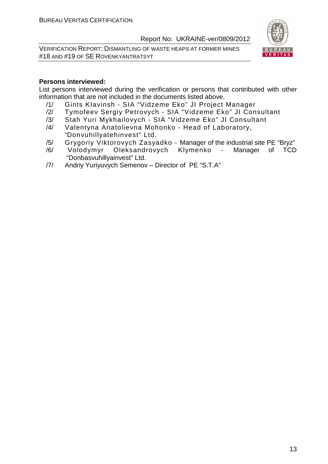VERIFICATION REPORT: DISMANTLING OF WASTE HEAPS AT FORMER MINES #18 AND #19 OF SE ROVENKYANTRATSYT



#### **Persons interviewed:**

List persons interviewed during the verification or persons that contributed with other information that are not included in the documents listed above.

- /1/ Gints KIavinsh SIA "Vidzeme Eko" JI Project Manager
- /2/ Tymofeev Sergiy Petrovych SIA "Vidzeme Eko" JI Consultant
- /3/ Stah Yuri Mykhailovych SIA "Vidzeme Eko" JI Consultant
- /4/ Valentyna Anatolievna Mohonko Head of Laboratory, "Donvuhillyatehinvest" Ltd.
- /5/ Grygoriy Viktorovych Zasyadko Manager of the industrial site PE "Bryz"
- /6/ Volodymyr Oleksandrovych Klymenko Manager of TCD "Donbasvuhillyainvest" Ltd.
- /7/ Andriy Yuriyuvych Semenov Director of PE "S.T.A"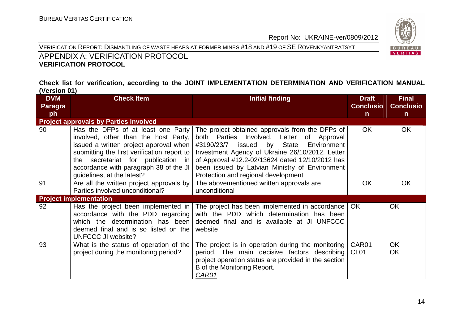



#### APPENDIX A: VERIFICATION PROTOCOL **VERIFICATION PROTOCOL**

#### **Check list for verification, according to the JOINT IMPLEMENTATION DETERMINATION AND VERIFICATION MANUAL (Version 01)**

| <b>DVM</b>     | <b>Check Item</b>                                                                                                                                                                                                                                                                 | <b>Initial finding</b>                                                                                                                                                                                                                                                                                                                         | <b>Draft</b>              | <b>Final</b>     |
|----------------|-----------------------------------------------------------------------------------------------------------------------------------------------------------------------------------------------------------------------------------------------------------------------------------|------------------------------------------------------------------------------------------------------------------------------------------------------------------------------------------------------------------------------------------------------------------------------------------------------------------------------------------------|---------------------------|------------------|
| <b>Paragra</b> |                                                                                                                                                                                                                                                                                   |                                                                                                                                                                                                                                                                                                                                                | <b>Conclusio</b>          | <b>Conclusio</b> |
| ph             |                                                                                                                                                                                                                                                                                   |                                                                                                                                                                                                                                                                                                                                                | $\mathsf{n}$              | $\mathsf{n}$     |
|                | <b>Project approvals by Parties involved</b>                                                                                                                                                                                                                                      |                                                                                                                                                                                                                                                                                                                                                |                           |                  |
| 90             | Has the DFPs of at least one Party<br>involved, other than the host Party,<br>issued a written project approval when<br>submitting the first verification report to<br>the secretariat for publication in<br>accordance with paragraph 38 of the JI<br>guidelines, at the latest? | The project obtained approvals from the DFPs of<br>both Parties Involved. Letter of Approval<br>#3190/23/7<br>issued by<br>State<br>Environment<br>Investment Agency of Ukraine 26/10/2012. Letter<br>of Approval #12.2-02/13624 dated 12/10/2012 has<br>been issued by Latvian Ministry of Environment<br>Protection and regional development | OK.                       | <b>OK</b>        |
| 91             | Are all the written project approvals by<br>Parties involved unconditional?                                                                                                                                                                                                       | The abovementioned written approvals are<br>unconditional                                                                                                                                                                                                                                                                                      | <b>OK</b>                 | <b>OK</b>        |
|                | <b>Project implementation</b>                                                                                                                                                                                                                                                     |                                                                                                                                                                                                                                                                                                                                                |                           |                  |
| 92             | Has the project been implemented in<br>accordance with the PDD regarding<br>which the determination has been<br>deemed final and is so listed on the<br>UNFCCC JI website?                                                                                                        | The project has been implemented in accordance  <br>with the PDD which determination has been<br>deemed final and is available at JI UNFCCC<br>website                                                                                                                                                                                         | OK.                       | <b>OK</b>        |
| 93             | What is the status of operation of the<br>project during the monitoring period?                                                                                                                                                                                                   | The project is in operation during the monitoring<br>period. The main decisive factors describing<br>project operation status are provided in the section<br>B of the Monitoring Report.<br>CAR01                                                                                                                                              | CAR01<br>CL <sub>01</sub> | <b>OK</b><br>OK  |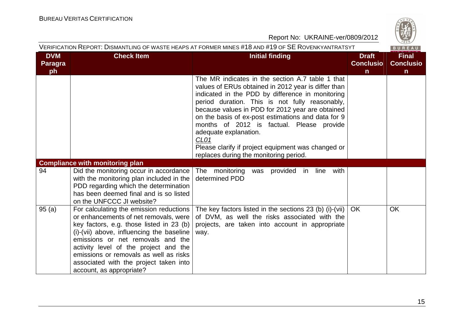

| VERIFICATION REPORT: DISMANTLING OF WASTE HEAPS AT FORMER MINES #18 AND #19 OF <b>SE</b> ROVENKYANTRATSYT<br>BUREAU |                                                                                                                                                                                                                                                                                                                                                                         |                                                                                                                                                                                                                                                                                                                                                                                                                                                                                                                   |                                                  |                                                  |  |
|---------------------------------------------------------------------------------------------------------------------|-------------------------------------------------------------------------------------------------------------------------------------------------------------------------------------------------------------------------------------------------------------------------------------------------------------------------------------------------------------------------|-------------------------------------------------------------------------------------------------------------------------------------------------------------------------------------------------------------------------------------------------------------------------------------------------------------------------------------------------------------------------------------------------------------------------------------------------------------------------------------------------------------------|--------------------------------------------------|--------------------------------------------------|--|
| <b>DVM</b><br><b>Paragra</b><br>ph                                                                                  | <b>Check Item</b>                                                                                                                                                                                                                                                                                                                                                       | <b>Initial finding</b>                                                                                                                                                                                                                                                                                                                                                                                                                                                                                            | <b>Draft</b><br><b>Conclusio</b><br>$\mathsf{n}$ | <b>Final</b><br><b>Conclusio</b><br>$\mathsf{n}$ |  |
|                                                                                                                     |                                                                                                                                                                                                                                                                                                                                                                         | The MR indicates in the section A.7 table 1 that<br>values of ERUs obtained in 2012 year is differ than<br>indicated in the PDD by difference in monitoring<br>period duration. This is not fully reasonably,<br>because values in PDD for 2012 year are obtained<br>on the basis of ex-post estimations and data for 9<br>months of 2012 is factual. Please provide<br>adequate explanation.<br>CL <sub>01</sub><br>Please clarify if project equipment was changed or<br>replaces during the monitoring period. |                                                  |                                                  |  |
|                                                                                                                     | <b>Compliance with monitoring plan</b>                                                                                                                                                                                                                                                                                                                                  |                                                                                                                                                                                                                                                                                                                                                                                                                                                                                                                   |                                                  |                                                  |  |
| 94                                                                                                                  | Did the monitoring occur in accordance<br>with the monitoring plan included in the<br>PDD regarding which the determination<br>has been deemed final and is so listed<br>on the UNFCCC JI website?                                                                                                                                                                      | with<br>The monitoring<br>was provided in<br>line<br>determined PDD                                                                                                                                                                                                                                                                                                                                                                                                                                               |                                                  |                                                  |  |
| 95(a)                                                                                                               | For calculating the emission reductions<br>or enhancements of net removals, were<br>key factors, e.g. those listed in 23 (b)<br>(i)-(vii) above, influencing the baseline<br>emissions or net removals and the<br>activity level of the project and the<br>emissions or removals as well as risks<br>associated with the project taken into<br>account, as appropriate? | The key factors listed in the sections 23 (b) (i)-(vii)<br>of DVM, as well the risks associated with the<br>projects, are taken into account in appropriate<br>way.                                                                                                                                                                                                                                                                                                                                               | <b>OK</b>                                        | <b>OK</b>                                        |  |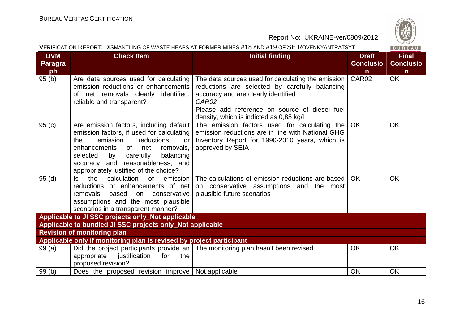

| VERIFICATION REPORT: DISMANTLING OF WASTE HEAPS AT FORMER MINES #18 AND #19 OF <b>SE</b> ROVENKYANTRATSYT<br>BUREAU |                                                                                                                                                                                                                                                                                        |                                                                                                                                                                                                                                                  |                                                  |                                                  |
|---------------------------------------------------------------------------------------------------------------------|----------------------------------------------------------------------------------------------------------------------------------------------------------------------------------------------------------------------------------------------------------------------------------------|--------------------------------------------------------------------------------------------------------------------------------------------------------------------------------------------------------------------------------------------------|--------------------------------------------------|--------------------------------------------------|
| <b>DVM</b><br>Paragra<br>ph                                                                                         | <b>Check Item</b>                                                                                                                                                                                                                                                                      | <b>Initial finding</b>                                                                                                                                                                                                                           | <b>Draft</b><br><b>Conclusio</b><br>$\mathsf{n}$ | <b>Final</b><br><b>Conclusio</b><br>$\mathsf{n}$ |
| 95(b)                                                                                                               | Are data sources used for calculating<br>emission reductions or enhancements<br>of net removals clearly identified,<br>reliable and transparent?                                                                                                                                       | The data sources used for calculating the emission<br>reductions are selected by carefully balancing<br>accuracy and are clearly identified<br>CAR02<br>Please add reference on source of diesel fuel<br>density, which is indicted as 0,85 kg/l | CAR02                                            | <b>OK</b>                                        |
| 95(c)                                                                                                               | Are emission factors, including default<br>emission factors, if used for calculating<br>the<br>reductions<br>emission<br>or<br>enhancements of net<br>removals,<br>by carefully<br>balancing<br>selected<br>accuracy and reasonableness, and<br>appropriately justified of the choice? | The emission factors used for calculating the<br>emission reductions are in line with National GHG<br>Inventory Report for 1990-2010 years, which is<br>approved by SEIA                                                                         | OK                                               | <b>OK</b>                                        |
| 95(d)                                                                                                               | the<br>calculation<br>of<br>emission<br>ls —<br>reductions or enhancements of net<br>based<br>conservative<br>removals<br>on<br>assumptions and the most plausible<br>scenarios in a transparent manner?                                                                               | The calculations of emission reductions are based<br>on conservative assumptions and the most<br>plausible future scenarios                                                                                                                      | <b>OK</b>                                        | <b>OK</b>                                        |
|                                                                                                                     | Applicable to JI SSC projects only_Not applicable                                                                                                                                                                                                                                      |                                                                                                                                                                                                                                                  |                                                  |                                                  |
|                                                                                                                     | Applicable to bundled JI SSC projects only_Not applicable                                                                                                                                                                                                                              |                                                                                                                                                                                                                                                  |                                                  |                                                  |
|                                                                                                                     | <b>Revision of monitoring plan</b>                                                                                                                                                                                                                                                     |                                                                                                                                                                                                                                                  |                                                  |                                                  |
|                                                                                                                     | Applicable only if monitoring plan is revised by project participant                                                                                                                                                                                                                   |                                                                                                                                                                                                                                                  |                                                  |                                                  |
| 99(a)                                                                                                               | appropriate<br>justification<br>the<br>for<br>proposed revision?                                                                                                                                                                                                                       | Did the project participants provide an The monitoring plan hasn't been revised                                                                                                                                                                  | <b>OK</b>                                        | <b>OK</b>                                        |
| 99(b)                                                                                                               | Does the proposed revision improve Not applicable                                                                                                                                                                                                                                      |                                                                                                                                                                                                                                                  | <b>OK</b>                                        | <b>OK</b>                                        |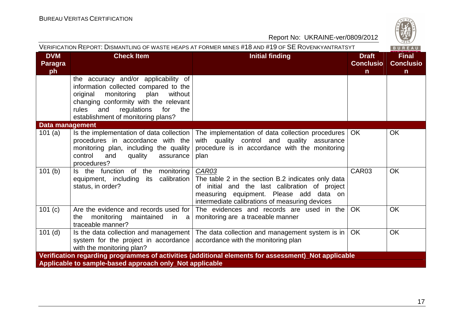

| Report No: UKRAINE-ver/0809/2012   |                                                                                                                                                                                                                                                        |                                                                                                                                                                                                            |                                                  |                                                  |  |  |
|------------------------------------|--------------------------------------------------------------------------------------------------------------------------------------------------------------------------------------------------------------------------------------------------------|------------------------------------------------------------------------------------------------------------------------------------------------------------------------------------------------------------|--------------------------------------------------|--------------------------------------------------|--|--|
|                                    |                                                                                                                                                                                                                                                        | VERIFICATION REPORT: DISMANTLING OF WASTE HEAPS AT FORMER MINES #18 AND #19 OF SE ROVENKYANTRATSYT                                                                                                         |                                                  | $\frac{120}{1828}$<br>BUREAU                     |  |  |
| <b>DVM</b><br><b>Paragra</b><br>ph | <b>Check Item</b>                                                                                                                                                                                                                                      | <b>Initial finding</b>                                                                                                                                                                                     | <b>Draft</b><br><b>Conclusio</b><br>$\mathsf{n}$ | <b>Final</b><br><b>Conclusio</b><br>$\mathsf{n}$ |  |  |
|                                    | the accuracy and/or applicability of<br>information collected compared to the<br>monitoring<br>plan<br>without<br>original<br>changing conformity with the relevant<br>regulations<br>rules<br>and<br>for<br>the<br>establishment of monitoring plans? |                                                                                                                                                                                                            |                                                  |                                                  |  |  |
| <b>Data management</b>             |                                                                                                                                                                                                                                                        |                                                                                                                                                                                                            |                                                  |                                                  |  |  |
| 101 $(a)$                          | Is the implementation of data collection<br>procedures in accordance with the<br>monitoring plan, including the quality<br>control<br>and<br>quality<br>assurance<br>procedures?                                                                       | The implementation of data collection procedures<br>with quality control and<br>quality assurance<br>procedure is in accordance with the monitoring<br>plan                                                | OK.                                              | <b>OK</b>                                        |  |  |
| 101(b)                             | Is the function of the monitoring<br>equipment, including<br>calibration<br>its<br>status, in order?                                                                                                                                                   | CAR03<br>The table 2 in the section B.2 indicates only data<br>of initial and the last calibration of project<br>measuring equipment. Please add data on<br>intermediate calibrations of measuring devices | CAR03                                            | <b>OK</b>                                        |  |  |
| 101(c)                             | Are the evidence and records used for<br>monitoring<br>maintained<br>the<br>in a<br>traceable manner?                                                                                                                                                  | The evidences and records are used in the<br>monitoring are a traceable manner                                                                                                                             | <b>OK</b>                                        | <b>OK</b>                                        |  |  |
| $101$ (d)                          | system for the project in accordance<br>with the monitoring plan?                                                                                                                                                                                      | Is the data collection and management   The data collection and management system is in<br>accordance with the monitoring plan                                                                             | <b>OK</b>                                        | <b>OK</b>                                        |  |  |
|                                    |                                                                                                                                                                                                                                                        | Verification regarding programmes of activities (additional elements for assessment)_Not applicable                                                                                                        |                                                  |                                                  |  |  |
|                                    | Applicable to sample-based approach only_Not applicable                                                                                                                                                                                                |                                                                                                                                                                                                            |                                                  |                                                  |  |  |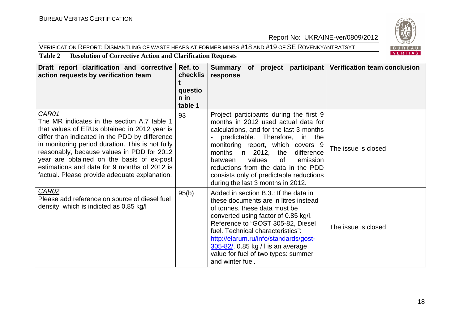#### VERIFICATION REPORT: DISMANTLING OF WASTE HEAPS AT FORMER MINES #18 AND #19 OF SE <sup>R</sup>OVENKYANTRATSYT



#### **Table 2 Resolution of Corrective Action and Clarification Requests**

| Draft report clarification and corrective<br>action requests by verification team                                                                                                                                                                                                                                                                                                                      | Ref. to<br>checklis<br>questio<br>$n$ in<br>table 1 | Summary of project participant Verification team conclusion<br>response                                                                                                                                                                                                                                                                                                                             |                     |
|--------------------------------------------------------------------------------------------------------------------------------------------------------------------------------------------------------------------------------------------------------------------------------------------------------------------------------------------------------------------------------------------------------|-----------------------------------------------------|-----------------------------------------------------------------------------------------------------------------------------------------------------------------------------------------------------------------------------------------------------------------------------------------------------------------------------------------------------------------------------------------------------|---------------------|
| CAR01<br>The MR indicates in the section A.7 table 1<br>that values of ERUs obtained in 2012 year is<br>differ than indicated in the PDD by difference<br>in monitoring period duration. This is not fully<br>reasonably, because values in PDD for 2012<br>year are obtained on the basis of ex-post<br>estimations and data for 9 months of 2012 is<br>factual. Please provide adequate explanation. | 93                                                  | Project participants during the first 9<br>months in 2012 used actual data for<br>calculations, and for the last 3 months<br>predictable. Therefore, in the<br>monitoring report, which covers 9<br>months in 2012, the<br>difference<br>values<br>0f<br>between<br>emission<br>reductions from the data in the PDD<br>consists only of predictable reductions<br>during the last 3 months in 2012. | The issue is closed |
| CAR02<br>Please add reference on source of diesel fuel<br>density, which is indicted as 0,85 kg/l                                                                                                                                                                                                                                                                                                      | 95(b)                                               | Added in section B.3.: If the data in<br>these documents are in litres instead<br>of tonnes, these data must be<br>converted using factor of 0.85 kg/l.<br>Reference to "GOST 305-82, Diesel<br>fuel. Technical characteristics":<br>http://elarum.ru/info/standards/gost-<br>305-82/. 0.85 kg / l is an average<br>value for fuel of two types: summer<br>and winter fuel.                         | The issue is closed |